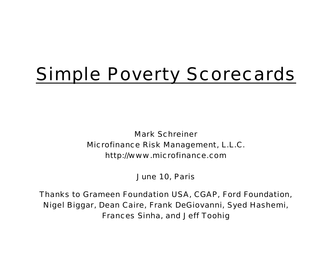# Simple Poverty Scorecards

Mark Schreiner Microfinance Risk Management, L.L.C. http://www.microfinance.com

June 10, Paris

Thanks to Grameen Foundation USA, CGAP, Ford Foundation, Nigel Biggar, Dean Caire, Frank DeGiovanni, Syed Hashemi, Frances Sinha, and Jeff Toohig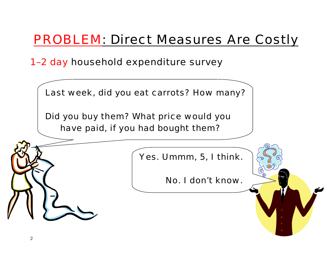#### PROBLEM: Direct Measures Are Costly

1–2 day household expenditure survey

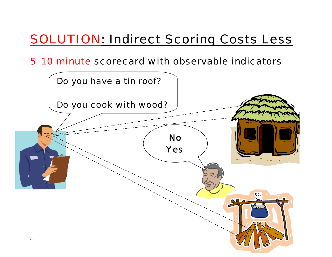#### SOLUTION: Indirect Scoring Costs Less

5–10 minute scorecard with observable indicators

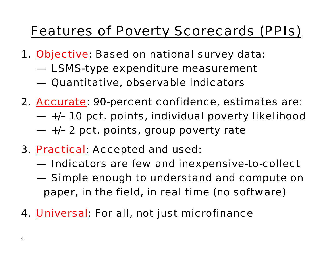#### Features of Poverty Scorecards (PPIs)

- 1. *Objective*: Based on national survey data:
	- LSMS-type expenditure measurement
	- Quantitative, observable indicators
- 2. *Accurate*: 90-percent confidence, estimates are:
	- +/– 10 pct. points, individual poverty likelihood
	- +/– 2 pct. points, group poverty rate
- 3. *Practical*: Accepted and used:
	- **Indicators are few and inexpensive-to-collect**
	- $-$  Simple enough to understand and compute on paper, in the field, in real time (no software)
- 4. *Universal*: For all, not just microfinance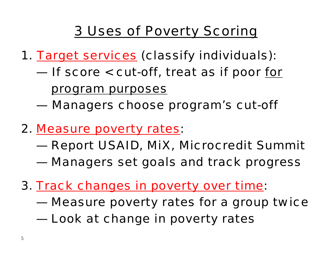#### 3 Uses of Poverty Scoring

- 1. *Target services* (classify individuals):
	- If score < cut-off, treat as if poor *for*

*program purposes*

- Managers choose program's cut-off
- 2. *Measure poverty rates*:
	- Report USAID, MiX, Microcredit Summit
	- Managers set goals and track progress
- *3. Track changes in poverty over time*:
	- Measure poverty rates for a group twice
	- **Look at change in poverty rates**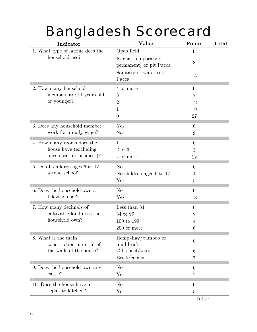# Bangladesh Scorecard

| Indicator                                       | Value                                          | Points         | Total |
|-------------------------------------------------|------------------------------------------------|----------------|-------|
| 1. What type of latrine does the                | Open field                                     | $\theta$       |       |
| household use?                                  | Kacha (temporary or<br>permanent) or pit Pacca | 8              |       |
|                                                 | Sanitary or water-seal<br>Pacca                | 15             |       |
| 2. How many household                           | 4 or more                                      | $\overline{0}$ |       |
| members are 11 years old                        | 3                                              | 7              |       |
| or younger?                                     | $\overline{2}$                                 | 12             |       |
|                                                 | 1                                              | 19             |       |
|                                                 | $\overline{0}$                                 | 27             |       |
| 3. Does any household member                    | Yes                                            | $\overline{0}$ |       |
| work for a daily wage?                          | $\rm No$                                       | 9              |       |
| 4. How many rooms does the                      | 1                                              | $\theta$       |       |
| house have (excluding)                          | 2 or 3                                         | 3              |       |
| ones used for business)?                        | 4 or more                                      | 12             |       |
| 5. Do all children ages 6 to 17                 | N <sub>o</sub>                                 | $\overline{0}$ |       |
| attend school?                                  | No children ages 6 to 17                       | 4              |       |
|                                                 | Yes                                            | 5              |       |
| 6. Does the household own a                     | N <sub>o</sub>                                 | $\theta$       |       |
| television set?                                 | Yes                                            | 13             |       |
| 7. How many decimals of                         | Less than 34                                   | $\overline{0}$ |       |
| cultivable land does the                        | 34 to 99                                       | $\overline{2}$ |       |
| household own?                                  | 100 to 199                                     | 4              |       |
|                                                 | 200 or more                                    | 6              |       |
| 8. What is the main<br>construction material of | $\text{Hemp/hay/bamboo}$ or<br>mud brick       | $\overline{0}$ |       |
| the walls of the house?                         | C.I. sheet/wood                                | 6              |       |
|                                                 | Brick/cement                                   | 7              |       |
| 9. Does the household own any                   | N <sub>o</sub>                                 | $\overline{0}$ |       |
| cattle?                                         | Yes                                            | $\overline{2}$ |       |
| 10. Does the house have a                       | N <sub>o</sub>                                 | $\overline{0}$ |       |
| separate kitchen?                               | Yes                                            | $\overline{5}$ |       |
|                                                 |                                                | Total:         |       |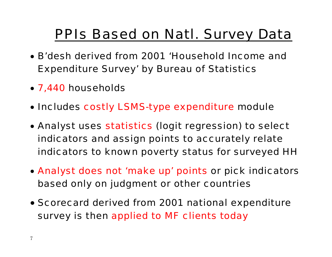#### PPIs Based on Natl. Survey Data

- B'desh derived from 2001 'Household Income and Expenditure Survey' by Bureau of Statistics
- 7,440 households
- Includes costly LSMS-type expenditure module
- Analyst uses statistics (logit regression) to select indicators and assign points to accurately relate indicators to known poverty status for surveyed HH
- Analyst does not 'make up' points or pick indicators based only on judgment or other countries
- Scorecard derived from 2001 national expenditure survey is then applied to MF clients today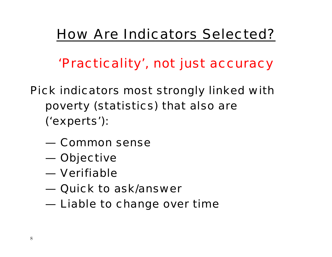#### How Are Indicators Selected?

*'Practicality', not just accuracy* 

- Pick indicators most strongly linked with poverty (statistics) that also are ('experts'):
	- Common sense
	- Objective
	- Verifiable
	- Quick to ask/answer
	- **Liable to change over time**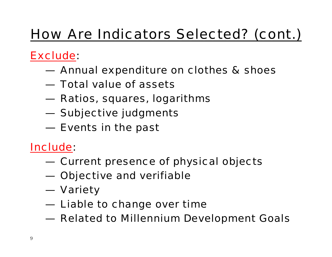## How Are Indicators Selected? (cont.)

#### Exclude:

- Annual expenditure on clothes & shoes
- Total value of assets
- Ratios, squares, logarithms
- Subjective judgments
- $\bf -$  Events in the past

#### Include:

- **Current presence of physical objects**
- Objective and verifiable
- Variety
- **Liable to change over time**
- Related to Millennium Development Goals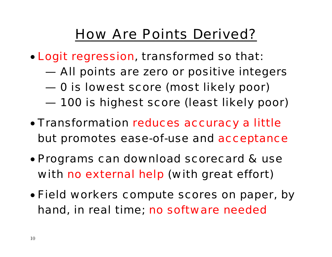#### How Are Points Derived?

- Logit regression, transformed so that:
	- All points are zero or positive integers
	- 0 is lowest score (most likely poor)
	- 100 is highest score (least likely poor)
- Transformation reduces accuracy a little but promotes ease-of-use and acceptance
- Programs can download scorecard & use with no external help (with great effort)
- Field workers compute scores on paper, by hand, in real time; no software needed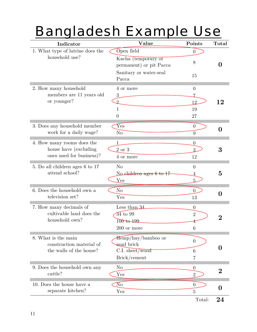## Bangladesh Example Use

| Indicator                          | Value                                          | Points           | Total            |
|------------------------------------|------------------------------------------------|------------------|------------------|
| 1. What type of latrine does the   | Open field                                     | $\theta$         |                  |
| household use?                     | Kacha (temporary or<br>permanent) or pit Pacca | 8                | 0                |
|                                    | Sanitary or water-seal<br>Pacca                | 15               |                  |
| 2. How many household              | 4 or more                                      | $\overline{0}$   |                  |
| members are 11 years old           | 3                                              | 7                |                  |
| or younger?                        | $\overline{2}$                                 | 12               | 12               |
|                                    | 1                                              | 19               |                  |
|                                    | $\theta$                                       | 27               |                  |
| 3. Does any household member       | Yes                                            | $\overline{0}$   | $\mathbf{0}$     |
| work for a daily wage?             | N <sub>o</sub>                                 | 9                |                  |
| 4. How many rooms does the         | 1                                              | $\overline{0}$   |                  |
| house have (excluding              | 2 or 3                                         | 3.               | 3                |
| ones used for business)?           | 4 or more                                      | 12               |                  |
| 5. Do all children ages 6 to 17    | N <sub>o</sub>                                 | $\theta$         |                  |
| attend school?                     | No children ages 6 to 17                       | 4                | $\bf{5}$         |
|                                    | Yes                                            | 5                |                  |
| 6. Does the household own a        | N <sub>o</sub>                                 | $\overline{0}$   |                  |
| television set?                    | Yes                                            | 13               | 0                |
| 7. How many decimals of            | Less than $34$                                 | $\theta$         |                  |
| cultivable land does the           | $34$ to $99$                                   | $\overline{2}$   |                  |
| household own?                     | 100 to 199                                     | 4                |                  |
|                                    | 200 or more                                    | 6                |                  |
| 8. What is the main                | $Hemp/hay/bamboo$ or                           |                  |                  |
| construction material of           | mud brick                                      | $\boldsymbol{0}$ |                  |
| the walls of the house?            | C.I. sheet/wood                                | 6                | 0                |
|                                    | Brick/cement                                   | 7                |                  |
| 9. Does the household own any      | N <sub>o</sub>                                 | $\overline{0}$   |                  |
| cattle?                            | Yes                                            | $\overline{2}$   | $\overline{2}$   |
| 10. Does the house have a          | $\overline{\text{No}}$                         | $\overline{0}$   |                  |
| $\operatorname{separate}$ kitchen? | $_{\rm Yes}$                                   | $\overline{5}$   | $\boldsymbol{0}$ |
|                                    |                                                | Total:           | 24               |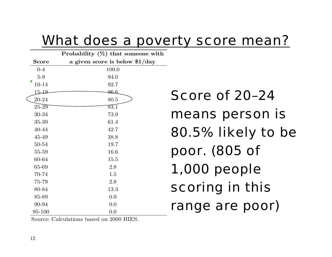#### What does a poverty score mean?

|              | Probability $(\%)$ that someone with |
|--------------|--------------------------------------|
| <b>Score</b> | a given score is below \$1/day       |
| $0 - 4$      | 100.0                                |
| $5-9$        | 94.0                                 |
| 10-14        | 92.7                                 |
| $15 - 19$    | <del>96.</del> 6                     |
| 20-24        | 80.5                                 |
| $25 - 29$    | $\overline{83.1}$                    |
| 30-34        | 73.9                                 |
| 35-39        | 61.4                                 |
| 40-44        | 42.7                                 |
| 45-49        | 38.8                                 |
| 50-54        | 19.7                                 |
| 55-59        | 16.6                                 |
| 60-64        | 15.5                                 |
| 65-69        | 2.8                                  |
| 70-74        | 1.5                                  |
| 75-79        | 2.8                                  |
| 80-84        | 13.3                                 |
| 85-89        | 0.9                                  |
| 90-94        | 0.0                                  |
| 95-100       | 0.0                                  |

Score of 20–24 means person is 80.5% likely to be poor. (805 of 1,000 people scoring in this range are poor)

Source: Calculations based on 2000 HIES.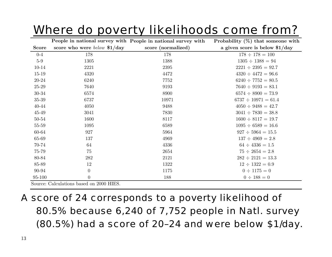#### Where do poverty likelihoods come from?

| score who were <i>below</i> $$1/day$<br>score (normalized)<br>a given score is below $1/day$<br><b>Score</b><br>$0-4$<br>178<br>178<br>$178 \div 178 = 100$<br>$5-9$<br>1388<br>$1305 \div 1388 = 94$<br>1305<br>$10 - 14$<br>2221<br>2395<br>$2221 \div 2395 = 92.7$<br>$15 - 19$<br>4320<br>$4320 \div 4472 = 96.6$<br>4472<br>$20 - 24$<br>$6240 \div 7752 = 80.5$<br>6240<br>7752<br>$25 - 29$<br>7640<br>9193<br>$7640 \div 9193 = 83.1$<br>30-34<br>6574<br>8900<br>$6574 \div 8900 = 73.9$<br>35-39<br>6737<br>10971<br>$6737 \div 10971 = 61.4$<br>40-44<br>4050<br>9488<br>$4050 \div 9488 = 42.7$<br>45-49<br>3041<br>7830<br>$3041 \div 7830 = 38.8$<br>50-54<br>1600<br>8117<br>$1600 \div 8117 = 19.7$<br>$55 - 59$<br>1095<br>6589<br>$1095 \div 6589 = 16.6$<br>60-64<br>927<br>$927 \div 5964 = 15.5$<br>5964<br>65-69<br>137<br>4969<br>$137 \div 4969 = 2.8$<br>$64 \div 4336 = 1.5$<br>70-74<br>64<br>4336<br>$75 \div 2654 = 2.8$<br>75-79<br>75<br>2654<br>80-84<br>$282 \div 2121 = 13.3$<br>282<br>2121<br>85-89<br>$12 \div 1322 = 0.9$<br>12<br>1322<br>$\boldsymbol{0}$<br>90-94<br>$0 \div 1175 = 0$<br>1175<br>$\boldsymbol{0}$<br>95-100<br>188<br>$0 \div 188 = 0$ |  | People in national survey with People in national survey with | Probability $(\%)$ that someone with |
|--------------------------------------------------------------------------------------------------------------------------------------------------------------------------------------------------------------------------------------------------------------------------------------------------------------------------------------------------------------------------------------------------------------------------------------------------------------------------------------------------------------------------------------------------------------------------------------------------------------------------------------------------------------------------------------------------------------------------------------------------------------------------------------------------------------------------------------------------------------------------------------------------------------------------------------------------------------------------------------------------------------------------------------------------------------------------------------------------------------------------------------------------------------------------------------------------|--|---------------------------------------------------------------|--------------------------------------|
|                                                                                                                                                                                                                                                                                                                                                                                                                                                                                                                                                                                                                                                                                                                                                                                                                                                                                                                                                                                                                                                                                                                                                                                                  |  |                                                               |                                      |
|                                                                                                                                                                                                                                                                                                                                                                                                                                                                                                                                                                                                                                                                                                                                                                                                                                                                                                                                                                                                                                                                                                                                                                                                  |  |                                                               |                                      |
|                                                                                                                                                                                                                                                                                                                                                                                                                                                                                                                                                                                                                                                                                                                                                                                                                                                                                                                                                                                                                                                                                                                                                                                                  |  |                                                               |                                      |
|                                                                                                                                                                                                                                                                                                                                                                                                                                                                                                                                                                                                                                                                                                                                                                                                                                                                                                                                                                                                                                                                                                                                                                                                  |  |                                                               |                                      |
|                                                                                                                                                                                                                                                                                                                                                                                                                                                                                                                                                                                                                                                                                                                                                                                                                                                                                                                                                                                                                                                                                                                                                                                                  |  |                                                               |                                      |
|                                                                                                                                                                                                                                                                                                                                                                                                                                                                                                                                                                                                                                                                                                                                                                                                                                                                                                                                                                                                                                                                                                                                                                                                  |  |                                                               |                                      |
|                                                                                                                                                                                                                                                                                                                                                                                                                                                                                                                                                                                                                                                                                                                                                                                                                                                                                                                                                                                                                                                                                                                                                                                                  |  |                                                               |                                      |
|                                                                                                                                                                                                                                                                                                                                                                                                                                                                                                                                                                                                                                                                                                                                                                                                                                                                                                                                                                                                                                                                                                                                                                                                  |  |                                                               |                                      |
|                                                                                                                                                                                                                                                                                                                                                                                                                                                                                                                                                                                                                                                                                                                                                                                                                                                                                                                                                                                                                                                                                                                                                                                                  |  |                                                               |                                      |
|                                                                                                                                                                                                                                                                                                                                                                                                                                                                                                                                                                                                                                                                                                                                                                                                                                                                                                                                                                                                                                                                                                                                                                                                  |  |                                                               |                                      |
|                                                                                                                                                                                                                                                                                                                                                                                                                                                                                                                                                                                                                                                                                                                                                                                                                                                                                                                                                                                                                                                                                                                                                                                                  |  |                                                               |                                      |
|                                                                                                                                                                                                                                                                                                                                                                                                                                                                                                                                                                                                                                                                                                                                                                                                                                                                                                                                                                                                                                                                                                                                                                                                  |  |                                                               |                                      |
|                                                                                                                                                                                                                                                                                                                                                                                                                                                                                                                                                                                                                                                                                                                                                                                                                                                                                                                                                                                                                                                                                                                                                                                                  |  |                                                               |                                      |
|                                                                                                                                                                                                                                                                                                                                                                                                                                                                                                                                                                                                                                                                                                                                                                                                                                                                                                                                                                                                                                                                                                                                                                                                  |  |                                                               |                                      |
|                                                                                                                                                                                                                                                                                                                                                                                                                                                                                                                                                                                                                                                                                                                                                                                                                                                                                                                                                                                                                                                                                                                                                                                                  |  |                                                               |                                      |
|                                                                                                                                                                                                                                                                                                                                                                                                                                                                                                                                                                                                                                                                                                                                                                                                                                                                                                                                                                                                                                                                                                                                                                                                  |  |                                                               |                                      |
|                                                                                                                                                                                                                                                                                                                                                                                                                                                                                                                                                                                                                                                                                                                                                                                                                                                                                                                                                                                                                                                                                                                                                                                                  |  |                                                               |                                      |
|                                                                                                                                                                                                                                                                                                                                                                                                                                                                                                                                                                                                                                                                                                                                                                                                                                                                                                                                                                                                                                                                                                                                                                                                  |  |                                                               |                                      |
|                                                                                                                                                                                                                                                                                                                                                                                                                                                                                                                                                                                                                                                                                                                                                                                                                                                                                                                                                                                                                                                                                                                                                                                                  |  |                                                               |                                      |
|                                                                                                                                                                                                                                                                                                                                                                                                                                                                                                                                                                                                                                                                                                                                                                                                                                                                                                                                                                                                                                                                                                                                                                                                  |  |                                                               |                                      |
|                                                                                                                                                                                                                                                                                                                                                                                                                                                                                                                                                                                                                                                                                                                                                                                                                                                                                                                                                                                                                                                                                                                                                                                                  |  |                                                               |                                      |

Source: Calculations based on 2000 HIES.

#### A score of 24 corresponds to a poverty likelihood of 80.5% because 6,240 of 7,752 people in Natl. survey (80.5%) had a score of 20–24 and were below \$1/day.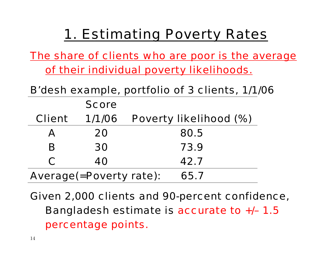#### 1. Estimating Poverty Rates

*The share of clients who are poor is the average of their individual poverty likelihoods.*

|                                | B'desh example, portfolio of 3 clients, 1/1/06 |                        |  |  |  |  |
|--------------------------------|------------------------------------------------|------------------------|--|--|--|--|
|                                | <b>Score</b>                                   |                        |  |  |  |  |
| <b>Client</b>                  | 1/1/06                                         | Poverty likelihood (%) |  |  |  |  |
| A                              | 20                                             | 80.5                   |  |  |  |  |
| B                              | 30                                             | 73.9                   |  |  |  |  |
| C                              | 40                                             | 42.7                   |  |  |  |  |
| <b>Average(=Poverty rate):</b> |                                                | 65.7                   |  |  |  |  |

Given 2,000 clients and 90-percent confidence, Bangladesh estimate is accurate to +/– 1.5 percentage points.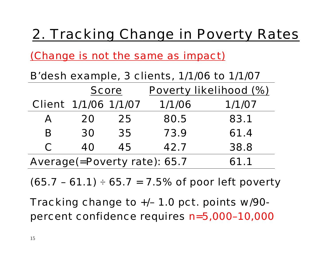#### 2. Tracking Change in Poverty Rates

*(Change is not the same as impact)*

B'desh example, 3 clients, 1/1/06 to 1/1/07

|                                      | <b>Score</b>                |    | Poverty likelihood (%) |        |  |
|--------------------------------------|-----------------------------|----|------------------------|--------|--|
|                                      | <b>Client 1/1/06 1/1/07</b> |    | 1/1/06                 | 1/1/07 |  |
| A                                    | 20                          | 25 | 80.5                   | 83.1   |  |
| B                                    | 30                          | 35 | 73.9                   | 61.4   |  |
| C                                    | 40                          | 45 | 42.7                   | 38.8   |  |
| Average(=Poverty rate): 65.7<br>61.1 |                             |    |                        |        |  |

 $(65.7 - 61.1) \div 65.7 = 7.5\%$  of poor left poverty

Tracking change to +/– 1.0 pct. points w/90 percent confidence requires n=5,000–10,000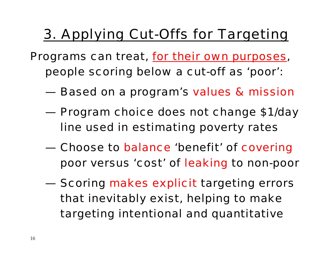#### 3. Applying Cut-Offs for Targeting

- Programs can treat, *for their own purposes*, people scoring below a cut-off as 'poor':
	- Based on a program's values & mission
	- Program choice does not change \$1/day line used in estimating poverty rates
	- Choose to balance 'benefit' of covering poor versus 'cost' of leaking to non-poor
	- **Scoring makes explicit targeting errors** that inevitably exist, helping to make targeting intentional and quantitative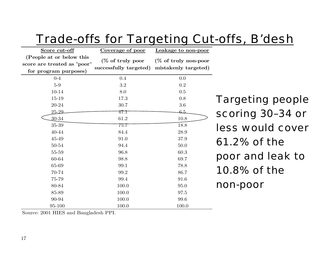| I UUV                                                                            |                                            |                                              |              |
|----------------------------------------------------------------------------------|--------------------------------------------|----------------------------------------------|--------------|
| Score cut-off                                                                    | Coverage of poor                           | Leakage to non-poor                          |              |
| (People at or below this<br>score are treated as 'poor'<br>for program purposes) | (% of truly poor<br>successfully targeted) | (% of truly non-poor<br>mistakenly targeted) |              |
| $0-4$                                                                            | 0.4                                        | 0.0                                          |              |
| $5-9$                                                                            | 3.2                                        | 0.2                                          |              |
| 10-14                                                                            | 8.0                                        | 0.5                                          |              |
| 15-19                                                                            | 17.3                                       | 0.8                                          | <b>Tarc</b>  |
| 20-24                                                                            | 30.7                                       | $3.6\,$                                      |              |
| $25 - 29$                                                                        | 47.1                                       | 6,5                                          | <b>SCOI</b>  |
| $30 - 34$                                                                        | 61.2                                       | 10.8                                         |              |
| 35-39                                                                            | 75.7                                       | 18.8                                         | less         |
| 40-44                                                                            | 84.4                                       | 28.9                                         |              |
| 45-49                                                                            | 91.0                                       | 37.9                                         | 61.2         |
| 50-54                                                                            | 94.4                                       | $50.0\,$                                     |              |
| 55-59                                                                            | 96.8                                       | 60.3                                         |              |
| 60-64                                                                            | 98.8                                       | 69.7                                         | pool<br>10.8 |
| 65-69                                                                            | 99.1                                       | 78.8                                         |              |
| 70-74                                                                            | 99.2                                       | 86.7                                         |              |
| 75-79                                                                            | 99.4                                       | 91.6                                         |              |
| 80-84                                                                            | 100.0                                      | 95.0                                         | non-         |
| 85-89                                                                            | 100.0                                      | 97.5                                         |              |
| 90-94                                                                            | 100.0                                      | 99.6                                         |              |
| 95-100                                                                           | 100.0                                      | 100.0                                        |              |

#### Trade-offs for Targeting Cut-offs, B'desh

geting people ring 30–34 or less would cover  $2\%$  of the r and leak to 3% of the non-poor

Source: 2001 HIES and Bangladesh PPI.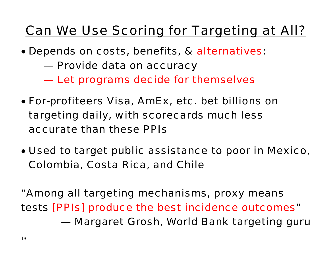#### Can We Use Scoring for Targeting at All?

- Depends on costs, benefits, & alternatives:
	- Provide data on accuracy
	- Let programs decide for themselves
- For-profiteers Visa, AmEx, etc. bet billions on targeting daily, with scorecards much less accurate than these PPIs
- Used to target public assistance to poor in Mexico, Colombia, Costa Rica, and Chile

"Among all targeting mechanisms, proxy means tests [PPIs] produce the best incidence outcomes" — Margaret Grosh, World Bank targeting guru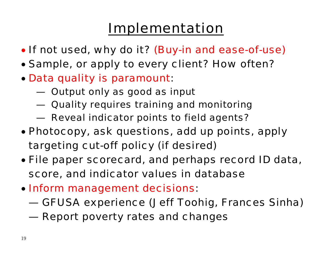#### Implementation

- If not used, why do it? (Buy-in and ease-of-use)
- Sample, or apply to every client? How often?
- Data quality is paramount:
	- Output only as good as input
	- Quality requires training and monitoring
	- Reveal indicator points to field agents?
- Photocopy, ask questions, add up points, apply targeting cut-off policy (if desired)
- File paper scorecard, and perhaps record ID data, score, and indicator values in database
- Inform management decisions:
	- GFUSA experience (Jeff Toohig, Frances Sinha)
	- Report poverty rates and changes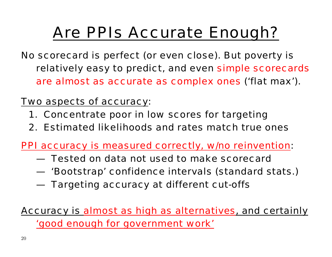# Are PPIs Accurate Enough?

No scorecard is perfect (or even close). But poverty is relatively easy to predict, and even simple scorecards are almost as accurate as complex ones ('flat max').

Two aspects of accuracy:

- 1. Concentrate poor in low scores for targeting
- 2. Estimated likelihoods and rates match true ones

PPI accuracy is measured correctly, w/no reinvention:

- Tested on data not used to make scorecard
- 'Bootstrap' confidence intervals (standard stats.)
- Targeting accuracy at different cut-offs
- Accuracy is almost as high as alternatives, and certainly 'good enough for government work'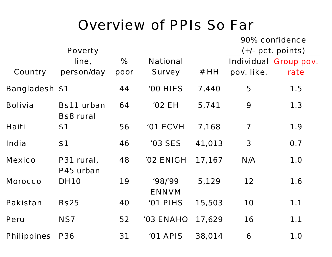#### Overview of PPIs So Far

|                       |                   |      |                  |        | 90% confidence          |                              |
|-----------------------|-------------------|------|------------------|--------|-------------------------|------------------------------|
|                       | <b>Poverty</b>    |      |                  |        |                         | $(+/- \text{pct. points})$   |
|                       | line,             | %    | <b>National</b>  |        |                         | <b>Individual Group pov.</b> |
| <b>Country</b>        | person/day        | poor | <b>Survey</b>    | #HH    | pov. like.              | rate                         |
| <b>Bangladesh \$1</b> |                   | 44   | '00 HIES         | 7,440  | 5                       | 1.5                          |
| <b>Bolivia</b>        | <b>Bs11 urban</b> | 64   | <b>'02 EH</b>    | 5,741  | 9                       | 1.3                          |
|                       | <b>Bs8 rural</b>  |      |                  |        |                         |                              |
| Haiti                 | \$1               | 56   | <b>'01 ECVH</b>  | 7,168  | $\overline{\mathbf{7}}$ | 1.9                          |
| India                 | \$1               | 46   | <b>'03 SES</b>   | 41,013 | $\mathbf{3}$            | 0.7                          |
| <b>Mexico</b>         | P31 rural,        | 48   | <b>'02 ENIGH</b> | 17,167 | N/A                     | 1.0                          |
|                       | P45 urban         |      |                  |        |                         |                              |
| <b>Morocco</b>        | <b>DH10</b>       | 19   | '98'99           | 5,129  | 12                      | 1.6                          |
|                       |                   |      | <b>ENNVM</b>     |        |                         |                              |
| <b>Pakistan</b>       | <b>Rs25</b>       | 40   | '01 PIHS         | 15,503 | 10                      | 1.1                          |
| <b>Peru</b>           | NS7               | 52   | <b>'03 ENAHO</b> | 17,629 | 16                      | 1.1                          |
| <b>Philippines</b>    | <b>P36</b>        | 31   | '01 APIS         | 38,014 | 6                       | 1.0                          |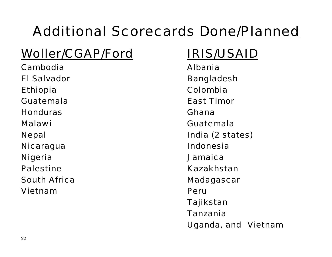# Additional Scorecards Done/Planned

#### Woller/CGAP/Ford IRIS/USAID

Cambodia Albania El Salvador **Bangladesh** Ethiopia Colombia Guatemala East Timor Honduras Ghana Malawi Guatemala Nicaragua Indonesia Nigeria Jamaica Palestine Kazakhstan South Africa **Madagascar** Madagascar Vietnam Peru

Nepal India (2 states) Tajikstan Tanzania Uganda, and Vietnam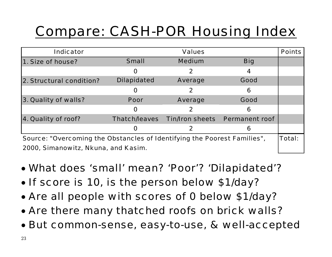# Compare: CASH-POR Housing Index

| <b>Indicator</b>                                                         |                    | <b>Values</b>                                |            | <b>Points</b> |  |
|--------------------------------------------------------------------------|--------------------|----------------------------------------------|------------|---------------|--|
| 1. Size of house?                                                        | <b>Small</b>       | <b>Medium</b>                                | <b>Big</b> |               |  |
|                                                                          | $\mathbf 0$        | $\mathbf{2}$                                 | 4          |               |  |
| 2. Structural condition?                                                 | <b>Dilapidated</b> | <b>Average</b>                               | Good       |               |  |
|                                                                          | O                  | $\mathbf 2$                                  | 6          |               |  |
| 3. Quality of walls?                                                     | <b>Poor</b>        | <b>Average</b>                               | Good       |               |  |
|                                                                          | $\mathbf 0$        | 2                                            | 6          |               |  |
| 4. Quality of roof?                                                      |                    | Thatch/leaves Tin/Iron sheets Permanent roof |            |               |  |
|                                                                          | O                  |                                              | 6          |               |  |
| Source: "Overcoming the Obstancles of Identifying the Poorest Families", |                    |                                              |            |               |  |
| 2000, Simanowitz, Nkuna, and Kasim.                                      |                    |                                              |            |               |  |

- What does 'small' mean? 'Poor'? 'Dilapidated'?
- If score is 10, is the person below \$1/day?
- Are all people with scores of 0 below \$1/day?
- Are there many thatched roofs on brick walls?
- But common-sense, easy-to-use, & well-accepted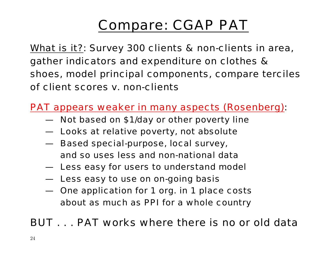## Compare: CGAP PAT

What is it?: Survey 300 clients & non-clients in area, gather indicators and expenditure on clothes & shoes, model principal components, compare terciles of client scores v. non-clients

PAT appears weaker in many aspects (Rosenberg):

- Not based on \$1/day or other poverty line
- Looks at relative poverty, not absolute
- Based special-purpose, local survey, and so uses less and non-national data
- Less easy for users to understand model
- Less easy to use on on-going basis
- One application for 1 org. in 1 place costs about as much as PPI for a whole country

#### BUT . . . PAT works where there is no or old data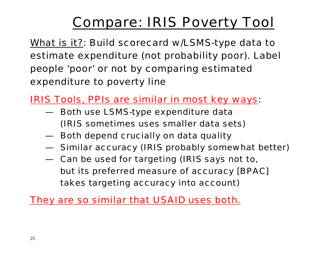# Compare: IRIS Poverty Tool

What is it?: Build scorecard w/LSMS-type data to estimate expenditure (not probability poor). Label people 'poor' or not by comparing estimated expenditure to poverty line

*IRIS Tools, PPIs are similar in most key ways*:

- Both use LSMS-type expenditure data (IRIS sometimes uses smaller data sets)
- **Both depend crucially on data quality**
- Similar accuracy (IRIS probably somewhat better)
- Can be used for targeting (IRIS says not to, but its preferred measure of accuracy [BPAC] takes targeting accuracy into account)

*They are so similar that USAID uses both.*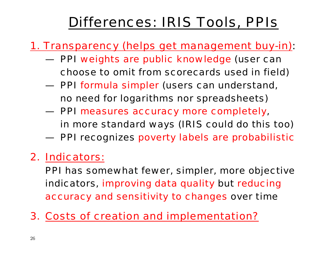## Differences: IRIS Tools, PPIs

#### 1. Transparency (helps get management buy-in):

- **PPI weights are public knowledge (user can** choose to omit from scorecards used in field)
- PPI formula simpler (users can understand, no need for logarithms nor spreadsheets)
- PPI measures accuracy more completely, in more standard ways (IRIS could do this too)
- PPI recognizes poverty labels are probabilistic

#### 2. Indicators:

PPI has somewhat fewer, simpler, more objective indicators, improving data quality but reducing accuracy and sensitivity to changes over time

3. Costs of creation and implementation?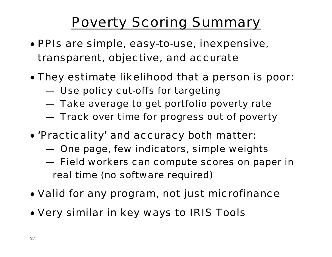## Poverty Scoring Summary

- PPIs are simple, easy-to-use, inexpensive, transparent, objective, and accurate
- They estimate likelihood that a person is poor:
	- Use policy cut-offs for targeting
	- Take average to get portfolio poverty rate
	- $-$  Track over time for progress out of poverty
- 'Practicality' and accuracy both matter:
	- One page, few indicators, simple weights
	- Field workers can compute scores on paper in real time (no software required)
- Valid for *any* program, not just microfinance
- Very similar in key ways to IRIS Tools